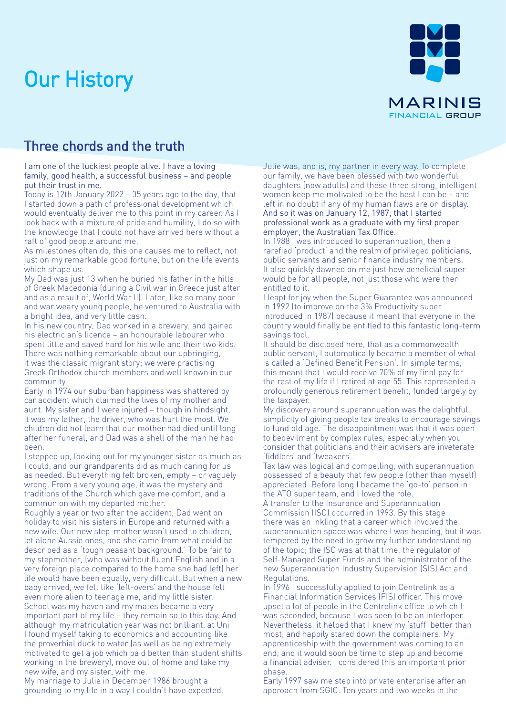## Our History



## Three chords and the truth

I am one of the luckiest people alive. I have a loving family, good health, a successful business – and people put their trust in me.

Today is 12th January 2022 – 35 years ago to the day, that I started down a path of professional development which would eventually deliver me to this point in my career. As I look back with a mixture of pride and humility, I do so with the knowledge that I could not have arrived here without a raft of good people around me.

As milestones often do, this one causes me to reflect, not just on my remarkable good fortune, but on the life events which shape us.

My Dad was just 13 when he buried his father in the hills of Greek Macedonia (during a Civil war in Greece just after and as a result of, World War II). Later, like so many poor and war weary young people, he ventured to Australia with a bright idea, and very little cash.

In his new country, Dad worked in a brewery, and gained his electrician's licence – an honourable labourer who spent little and saved hard for his wife and their two kids. There was nothing remarkable about our upbringing, it was the classic migrant story; we were practising Greek Orthodox church members and well known in our community.

Early in 1974 our suburban happiness was shattered by car accident which claimed the lives of my mother and aunt. My sister and I were injured – though in hindsight, it was my father, the driver, who was hurt the most. We children did not learn that our mother had died until long after her funeral, and Dad was a shell of the man he had been.

I stepped up, looking out for my younger sister as much as I could, and our grandparents did as much caring for us as needed. But everything felt broken, empty – or vaguely wrong. From a very young age, it was the mystery and traditions of the Church which gave me comfort, and a communion with my departed mother.

Roughly a year or two after the accident, Dad went on holiday to visit his sisters in Europe and returned with a new wife. Our new step-mother wasn't used to children, let alone Aussie ones, and she came from what could be described as a 'tough peasant background.' To be fair to my stepmother, (who was without fluent English and in a very foreign place compared to the home she had left) her life would have been equally, very difficult. But when a new baby arrived, we felt like 'left-overs' and the house felt even more alien to teenage me, and my little sister. School was my haven and my mates became a very important part of my life – they remain so to this day. And although my matriculation year was not brilliant, at Uni I found myself taking to economics and accounting like the proverbial duck to water (as well as being extremely motivated to get a job which paid better than student shifts working in the brewery), move out of home and take my new wife, and my sister, with me.

My marriage to Julie in December 1986 brought a grounding to my life in a way I couldn't have expected. Julie was, and is, my partner in every way. To complete our family, we have been blessed with two wonderful daughters (now adults) and these three strong, intelligent women keep me motivated to be the best I can be – and left in no doubt if any of my human flaws are on display. And so it was on January 12, 1987, that I started professional work as a graduate with my first proper employer, the Australian Tax Office.

In 1988 I was introduced to superannuation, then a rarefied 'product' and the realm of privileged politicians, public servants and senior finance industry members. It also quickly dawned on me just how beneficial super would be for all people, not just those who were then entitled to it.

I leapt for joy when the Super Guarantee was announced in 1992 (to improve on the 3% Productivity super introduced in 1987) because it meant that everyone in the country would finally be entitled to this fantastic long-term savings tool.

It should be disclosed here, that as a commonwealth public servant, I automatically became a member of what is called a 'Defined Benefit Pension'. In simple terms, this meant that I would receive 70% of my final pay for the rest of my life if I retired at age 55. This represented a profoundly generous retirement benefit, funded largely by the taxpayer.

My discovery around superannuation was the delightful simplicity of giving people tax breaks to encourage savings to fund old age. The disappointment was that it was open to bedevilment by complex rules, especially when you consider that politicians and their advisers are inveterate 'fiddlers' and 'tweakers'.

Tax law was logical and compelling, with superannuation possessed of a beauty that few people (other than myself) appreciated. Before long I became the 'go-to' person in the ATO super team, and I loved the role.

A transfer to the Insurance and Superannuation Commission (ISC) occurred in 1993. By this stage there was an inkling that a career which involved the superannuation space was where I was heading, but it was tempered by the need to grow my further understanding of the topic; the ISC was at that time, the regulator of Self-Managed Super Funds and the administrator of the new Superannuation Industry Supervision (SIS) Act and Regulations.

In 1996 I successfully applied to join Centrelink as a Financial Information Services (FIS) officer. This move upset a lot of people in the Centrelink office to which I was seconded, because I was seen to be an interloper. Nevertheless, it helped that I knew my 'stuff' better than most, and happily stared down the complainers. My apprenticeship with the government was coming to an end, and it would soon be time to step up and become a financial adviser. I considered this an important prior phase.

Early 1997 saw me step into private enterprise after an approach from SGIC. Ten years and two weeks in the